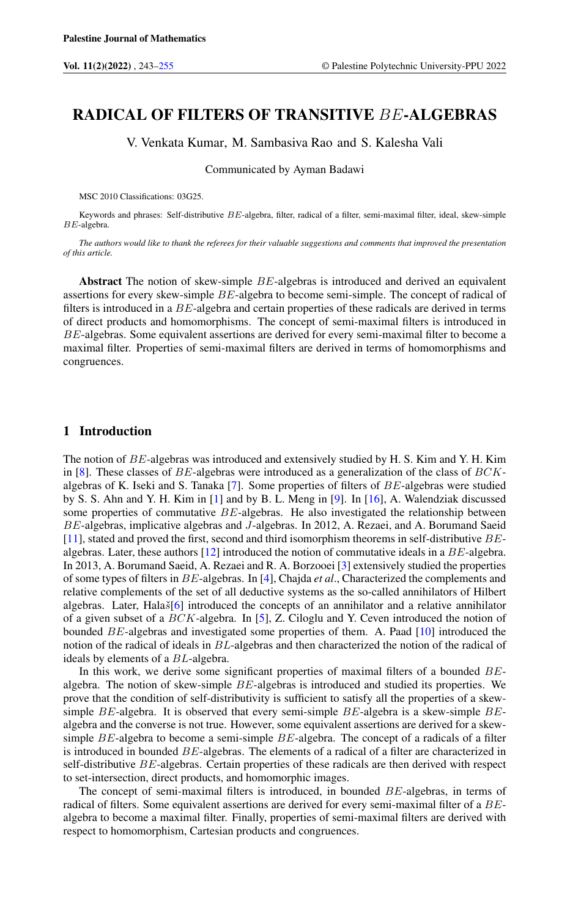# RADICAL OF FILTERS OF TRANSITIVE BE-ALGEBRAS

V. Venkata Kumar, M. Sambasiva Rao and S. Kalesha Vali

Communicated by Ayman Badawi

MSC 2010 Classifications: 03G25.

Keywords and phrases: Self-distributive BE-algebra, filter, radical of a filter, semi-maximal filter, ideal, skew-simple BE-algebra.

*The authors would like to thank the referees for their valuable suggestions and comments that improved the presentation of this article.*

Abstract The notion of skew-simple BE-algebras is introduced and derived an equivalent assertions for every skew-simple BE-algebra to become semi-simple. The concept of radical of filters is introduced in a BE-algebra and certain properties of these radicals are derived in terms of direct products and homomorphisms. The concept of semi-maximal filters is introduced in BE-algebras. Some equivalent assertions are derived for every semi-maximal filter to become a maximal filter. Properties of semi-maximal filters are derived in terms of homomorphisms and congruences.

### 1 Introduction

The notion of BE-algebras was introduced and extensively studied by H. S. Kim and Y. H. Kim in [\[8\]](#page-12-1). These classes of  $BE$ -algebras were introduced as a generalization of the class of  $BCK$ algebras of K. Iseki and S. Tanaka [\[7\]](#page-12-2). Some properties of filters of BE-algebras were studied by S. S. Ahn and Y. H. Kim in [\[1\]](#page-12-3) and by B. L. Meng in [\[9\]](#page-12-4). In [\[16\]](#page-12-5), A. Walendziak discussed some properties of commutative  $BE$ -algebras. He also investigated the relationship between BE-algebras, implicative algebras and J-algebras. In 2012, A. Rezaei, and A. Borumand Saeid [\[11\]](#page-12-6), stated and proved the first, second and third isomorphism theorems in self-distributive BEalgebras. Later, these authors [\[12\]](#page-12-7) introduced the notion of commutative ideals in a BE-algebra. In 2013, A. Borumand Saeid, A. Rezaei and R. A. Borzooei [\[3\]](#page-12-8) extensively studied the properties of some types of filters in BE-algebras. In [\[4\]](#page-12-9), Chajda *et al*., Characterized the complements and relative complements of the set of all deductive systems as the so-called annihilators of Hilbert algebras. Later, Hala $\delta$ [\[6\]](#page-12-10) introduced the concepts of an annihilator and a relative annihilator of a given subset of a BCK-algebra. In [\[5\]](#page-12-11), Z. Ciloglu and Y. Ceven introduced the notion of bounded BE-algebras and investigated some properties of them. A. Paad [\[10\]](#page-12-12) introduced the notion of the radical of ideals in BL-algebras and then characterized the notion of the radical of ideals by elements of a BL-algebra.

In this work, we derive some significant properties of maximal filters of a bounded BEalgebra. The notion of skew-simple BE-algebras is introduced and studied its properties. We prove that the condition of self-distributivity is sufficient to satisfy all the properties of a skewsimple  $BE$ -algebra. It is observed that every semi-simple  $BE$ -algebra is a skew-simple  $BE$ algebra and the converse is not true. However, some equivalent assertions are derived for a skewsimple BE-algebra to become a semi-simple BE-algebra. The concept of a radicals of a filter is introduced in bounded BE-algebras. The elements of a radical of a filter are characterized in self-distributive BE-algebras. Certain properties of these radicals are then derived with respect to set-intersection, direct products, and homomorphic images.

The concept of semi-maximal filters is introduced, in bounded BE-algebras, in terms of radical of filters. Some equivalent assertions are derived for every semi-maximal filter of a BEalgebra to become a maximal filter. Finally, properties of semi-maximal filters are derived with respect to homomorphism, Cartesian products and congruences.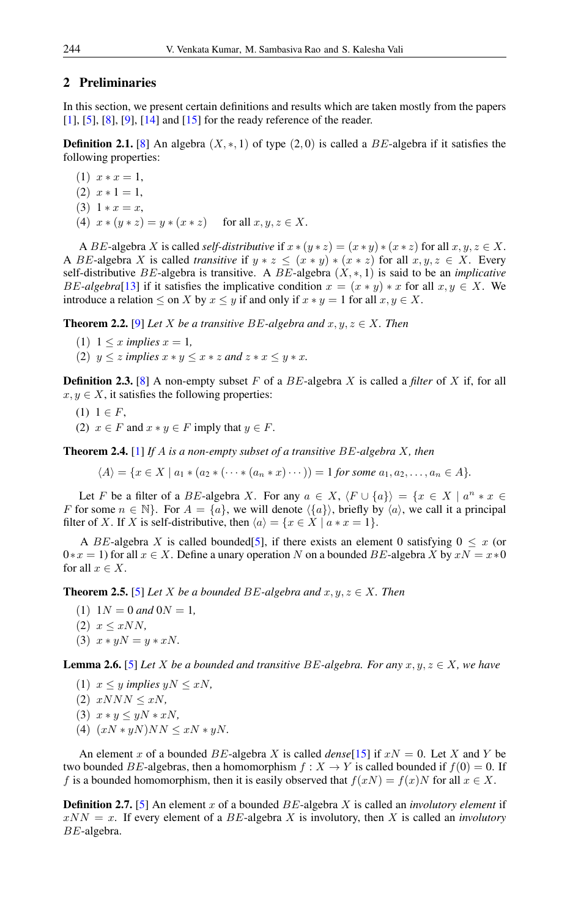# 2 Preliminaries

In this section, we present certain definitions and results which are taken mostly from the papers [\[1\]](#page-12-3), [\[5\]](#page-12-11), [\[8\]](#page-12-1), [\[9\]](#page-12-4), [\[14\]](#page-12-13) and [\[15\]](#page-12-14) for the ready reference of the reader.

**Definition 2.1.** [\[8\]](#page-12-1) An algebra  $(X, \ast, 1)$  of type  $(2, 0)$  is called a BE-algebra if it satisfies the following properties:

 $(1)$   $x * x = 1$ ,  $(2)$   $x * 1 = 1$ , (3)  $1 * x = x$ , (4)  $x * (y * z) = y * (x * z)$  for all  $x, y, z \in X$ .

A BE-algebra X is called *self-distributive* if  $x * (y * z) = (x * y) * (x * z)$  for all  $x, y, z \in X$ . A BE-algebra X is called *transitive* if  $y * z \leq (x * y) * (x * z)$  for all  $x, y, z \in X$ . Every self-distributive BE-algebra is transitive. A BE-algebra (X, ∗, 1) is said to be an *implicative* BE-algebra<sup>[\[13\]](#page-12-15)</sup> if it satisfies the implicative condition  $x = (x * y) * x$  for all  $x, y \in X$ . We introduce a relation  $\leq$  on X by  $x \leq y$  if and only if  $x * y = 1$  for all  $x, y \in X$ .

**Theorem 2.2.** [\[9\]](#page-12-4) *Let X be a transitive BE*-algebra and  $x, y, z \in X$ . Then

- $(1)$  1  $\leq$  *x implies*  $x = 1$ *,*
- (2)  $y \leq z$  *implies*  $x * y \leq x * z$  *and*  $z * x \leq y * x$ *.*

**Definition 2.3.** [\[8\]](#page-12-1) A non-empty subset F of a BE-algebra X is called a *filter* of X if, for all  $x, y \in X$ , it satisfies the following properties:

- $(1)$  1  $\in$  F,
- (2)  $x \in F$  and  $x * y \in F$  imply that  $y \in F$ .

Theorem 2.4. [\[1\]](#page-12-3) *If* A *is a non-empty subset of a transitive* BE*-algebra* X*, then*

 $\langle A \rangle = \{x \in X \mid a_1 * (a_2 * ( \cdots * (a_n * x) \cdots )) = 1 \text{ for some } a_1, a_2, \ldots, a_n \in A\}.$ 

Let F be a filter of a BE-algebra X. For any  $a \in X$ ,  $\langle F \cup \{a\} \rangle = \{x \in X \mid a^n * x \in$ F for some  $n \in \mathbb{N}$ . For  $A = \{a\}$ , we will denote  $\langle \{a\} \rangle$ , briefly by  $\langle a \rangle$ , we call it a principal filter of X. If X is self-distributive, then  $\langle a \rangle = \{x \in X \mid a * x = 1\}.$ 

A BE-algebra X is called bounded [\[5\]](#page-12-11), if there exists an element 0 satisfying  $0 \leq x$  (or  $0*x = 1$ ) for all  $x \in X$ . Define a unary operation N on a bounded BE-algebra X by  $xN = x*0$ for all  $x \in X$ .

**Theorem 2.5.** [\[5\]](#page-12-11) *Let* X *be a bounded*  $BE$ -algebra and  $x, y, z \in X$ *. Then* 

- $(1)$  1*N* = 0 *and* 0*N* = 1*,*
- $(2)$   $x \leq xNN$ ,
- (3)  $x * yN = y * xN$ .

<span id="page-1-0"></span>**Lemma 2.6.** [\[5\]](#page-12-11) *Let X be a bounded and transitive BE-algebra. For any*  $x, y, z \in X$ *, we have* 

(1)  $x \leq y$  *implies*  $yN \leq xN$ ,

 $(2)$   $xNNN \leq xN$ ,

- (3) x ∗ y ≤ yN ∗ xN*,*
- (4)  $(xN * yN)NN \leq xN * yN$ .

An element x of a bounded BE-algebra X is called  $dense[15]$  $dense[15]$  if  $xN = 0$ . Let X and Y be two bounded BE-algebras, then a homomorphism  $f : X \to Y$  is called bounded if  $f(0) = 0$ . If f is a bounded homomorphism, then it is easily observed that  $f(xN) = f(x)N$  for all  $x \in X$ .

Definition 2.7. [\[5\]](#page-12-11) An element x of a bounded BE-algebra X is called an *involutory element* if  $xNN = x$ . If every element of a BE-algebra X is involutory, then X is called an *involutory* BE-algebra.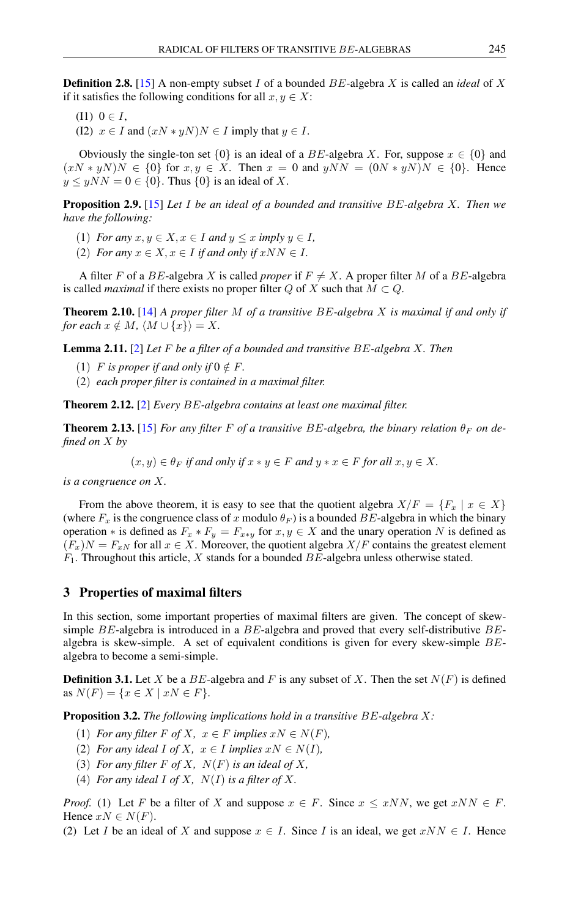Definition 2.8. [\[15\]](#page-12-14) A non-empty subset I of a bounded BE-algebra X is called an *ideal* of X if it satisfies the following conditions for all  $x, y \in X$ :

- (I1)  $0 \in I$ .
- (I2)  $x \in I$  and  $(xN * yN)N \in I$  imply that  $y \in I$ .

Obviously the single-ton set {0} is an ideal of a BE-algebra X. For, suppose  $x \in \{0\}$  and  $(xN \times yN)N \in \{0\}$  for  $x, y \in X$ . Then  $x = 0$  and  $yNN = (0N \times yN)N \in \{0\}$ . Hence  $y \leq yNN = 0 \in \{0\}$ . Thus  $\{0\}$  is an ideal of X.

Proposition 2.9. [\[15\]](#page-12-14) *Let* I *be an ideal of a bounded and transitive* BE*-algebra* X*. Then we have the following:*

- (1) *For any*  $x, y \in X, x \in I$  *and*  $y \leq x$  *imply*  $y \in I$ *,*
- (2) *For any*  $x \in X, x \in I$  *if and only if*  $xNN \in I$ *.*

A filter F of a BE-algebra X is called *proper* if  $F \neq X$ . A proper filter M of a BE-algebra is called *maximal* if there exists no proper filter Q of X such that  $M \subset Q$ .

Theorem 2.10. [\[14\]](#page-12-13) *A proper filter* M *of a transitive* BE*-algebra* X *is maximal if and only if for each*  $x \notin M$ *,*  $\langle M \cup \{x\} \rangle = X$ *.* 

Lemma 2.11. [\[2\]](#page-12-16) *Let* F *be a filter of a bounded and transitive* BE*-algebra* X*. Then*

- (1) *F* is proper if and only if  $0 \notin F$ .
- (2) *each proper filter is contained in a maximal filter.*

Theorem 2.12. [\[2\]](#page-12-16) *Every* BE*-algebra contains at least one maximal filter.*

**Theorem 2.13.** [\[15\]](#page-12-14) *For any filter F of a transitive BE-algebra, the binary relation*  $\theta_F$  *on defined on* X *by*

 $(x, y) \in \theta_F$  *if and only if*  $x * y \in F$  *and*  $y * x \in F$  *for all*  $x, y \in X$ *.* 

*is a congruence on* X*.*

From the above theorem, it is easy to see that the quotient algebra  $X/F = \{F_x \mid x \in X\}$ (where  $F_x$  is the congruence class of x modulo  $\theta_F$ ) is a bounded BE-algebra in which the binary operation  $*$  is defined as  $F_x * F_y = F_{x*y}$  for  $x, y \in X$  and the unary operation N is defined as  $(F_x)N = F_{xN}$  for all  $x \in X$ . Moreover, the quotient algebra  $X/F$  contains the greatest element  $F_1$ . Throughout this article, X stands for a bounded  $BE$ -algebra unless otherwise stated.

# 3 Properties of maximal filters

In this section, some important properties of maximal filters are given. The concept of skewsimple  $BE$ -algebra is introduced in a  $BE$ -algebra and proved that every self-distributive  $BE$ algebra is skew-simple. A set of equivalent conditions is given for every skew-simple  $BE$ algebra to become a semi-simple.

**Definition 3.1.** Let X be a BE-algebra and F is any subset of X. Then the set  $N(F)$  is defined as  $N(F) = \{x \in X \mid xN \in F\}.$ 

<span id="page-2-0"></span>Proposition 3.2. *The following implications hold in a transitive* BE*-algebra* X*:*

- (1) *For any filter*  $F$  *of*  $X$ *,*  $x \in F$  *implies*  $xN \in N(F)$ *,*
- (2) *For any ideal I of X,*  $x \in I$  *implies*  $xN \in N(I)$ *,*
- (3) *For any filter*  $F$  *of*  $X$ *,*  $N(F)$  *is an ideal of*  $X$ *,*
- (4) *For any ideal*  $I$  *of*  $X$ *,*  $N(I)$  *is a filter of*  $X$ *.*

*Proof.* (1) Let F be a filter of X and suppose  $x \in F$ . Since  $x \leq xNN$ , we get  $xNN \in F$ . Hence  $xN \in N(F)$ .

(2) Let I be an ideal of X and suppose  $x \in I$ . Since I is an ideal, we get  $xNN \in I$ . Hence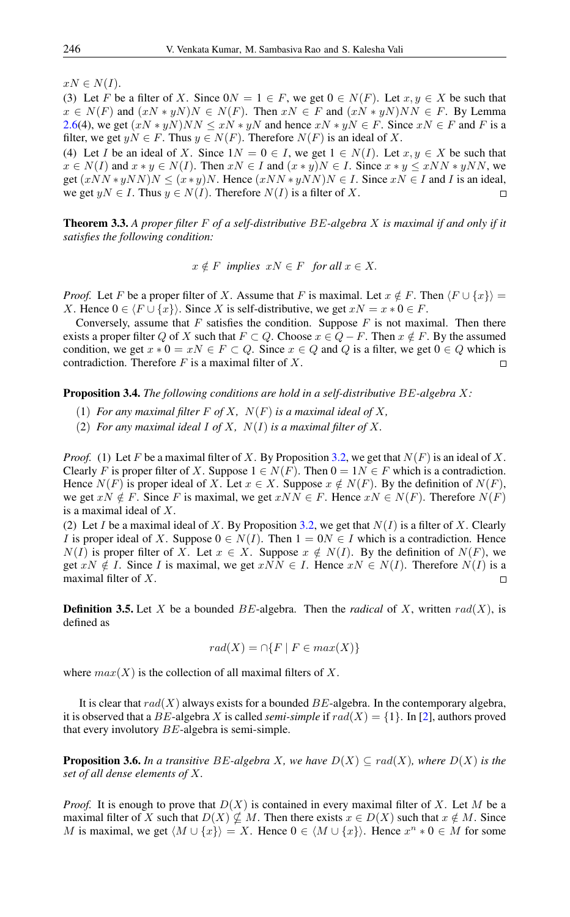$xN \in N(I).$ 

(3) Let F be a filter of X. Since  $0N = 1 \in F$ , we get  $0 \in N(F)$ . Let  $x, y \in X$  be such that  $x \in N(F)$  and  $(xN * yN)N \in N(F)$ . Then  $xN \in F$  and  $(xN * yN)NN \in F$ . By Lemma [2.6\(](#page-1-0)4), we get  $(xN \times yN)NN \leq xN \times yN$  and hence  $xN \times yN \in F$ . Since  $xN \in F$  and F is a filter, we get  $yN \in F$ . Thus  $y \in N(F)$ . Therefore  $N(F)$  is an ideal of X.

(4) Let I be an ideal of X. Since  $1N = 0 \in I$ , we get  $1 \in N(I)$ . Let  $x, y \in X$  be such that  $x \in N(I)$  and  $x * y \in N(I)$ . Then  $xN \in I$  and  $(x * y)N \in I$ . Since  $x * y \le xNN * yNN$ , we get  $(xNN*yNN)N \leq (x*y)N$ . Hence  $(xNN*yNN)N \in I$ . Since  $xN \in I$  and I is an ideal, we get  $yN \in I$ . Thus  $y \in N(I)$ . Therefore  $N(I)$  is a filter of X.  $\Box$ 

<span id="page-3-1"></span>Theorem 3.3. *A proper filter* F *of a self-distributive* BE*-algebra* X *is maximal if and only if it satisfies the following condition:*

 $x \notin F$  *implies*  $xN \in F$  *for all*  $x \in X$ .

*Proof.* Let F be a proper filter of X. Assume that F is maximal. Let  $x \notin F$ . Then  $\langle F \cup \{x\} \rangle =$ X. Hence  $0 \in \langle F \cup \{x\} \rangle$ . Since X is self-distributive, we get  $xN = x * 0 \in F$ .

Conversely, assume that  $F$  satisfies the condition. Suppose  $F$  is not maximal. Then there exists a proper filter Q of X such that  $F \subset Q$ . Choose  $x \in Q - F$ . Then  $x \notin F$ . By the assumed condition, we get  $x * 0 = xN \in F \subset Q$ . Since  $x \in Q$  and Q is a filter, we get  $0 \in Q$  which is contradiction. Therefore  $F$  is a maximal filter of  $X$ .  $\Box$ 

Proposition 3.4. *The following conditions are hold in a self-distributive* BE*-algebra* X*:*

- (1) *For any maximal filter*  $F$  *of*  $X$ *,*  $N(F)$  *is a maximal ideal of*  $X$ *,*
- (2) *For any maximal ideal I of X,*  $N(I)$  *is a maximal filter of X.*

*Proof.* (1) Let F be a maximal filter of X. By Proposition [3.2,](#page-2-0) we get that  $N(F)$  is an ideal of X. Clearly F is proper filter of X. Suppose  $1 \in N(F)$ . Then  $0 = 1N \in F$  which is a contradiction. Hence  $N(F)$  is proper ideal of X. Let  $x \in X$ . Suppose  $x \notin N(F)$ . By the definition of  $N(F)$ , we get  $xN \notin F$ . Since F is maximal, we get  $xNN \in F$ . Hence  $xN \in N(F)$ . Therefore  $N(F)$ is a maximal ideal of X.

(2) Let I be a maximal ideal of X. By Proposition [3.2,](#page-2-0) we get that  $N(I)$  is a filter of X. Clearly I is proper ideal of X. Suppose  $0 \in N(I)$ . Then  $1 = 0N \in I$  which is a contradiction. Hence  $N(I)$  is proper filter of X. Let  $x \in X$ . Suppose  $x \notin N(I)$ . By the definition of  $N(F)$ , we get  $xN \notin I$ . Since I is maximal, we get  $xNN \in I$ . Hence  $xN \in N(I)$ . Therefore  $N(I)$  is a maximal filter of X.  $\Box$ 

**Definition 3.5.** Let X be a bounded BE-algebra. Then the *radical* of X, written  $rad(X)$ , is defined as

$$
rad(X) = \bigcap \{ F \mid F \in max(X) \}
$$

where  $max(X)$  is the collection of all maximal filters of X.

It is clear that  $rad(X)$  always exists for a bounded BE-algebra. In the contemporary algebra, it is observed that a BE-algebra X is called *semi-simple* if  $rad(X) = \{1\}$ . In [\[2\]](#page-12-16), authors proved that every involutory BE-algebra is semi-simple.

<span id="page-3-0"></span>**Proposition 3.6.** In a transitive BE-algebra X, we have  $D(X) \subseteq rad(X)$ , where  $D(X)$  is the *set of all dense elements of* X*.*

*Proof.* It is enough to prove that  $D(X)$  is contained in every maximal filter of X. Let M be a maximal filter of X such that  $D(X) \nsubseteq M$ . Then there exists  $x \in D(X)$  such that  $x \notin M$ . Since M is maximal, we get  $\langle M \cup \{x\} \rangle = X$ . Hence  $0 \in \langle M \cup \{x\} \rangle$ . Hence  $x^n * 0 \in M$  for some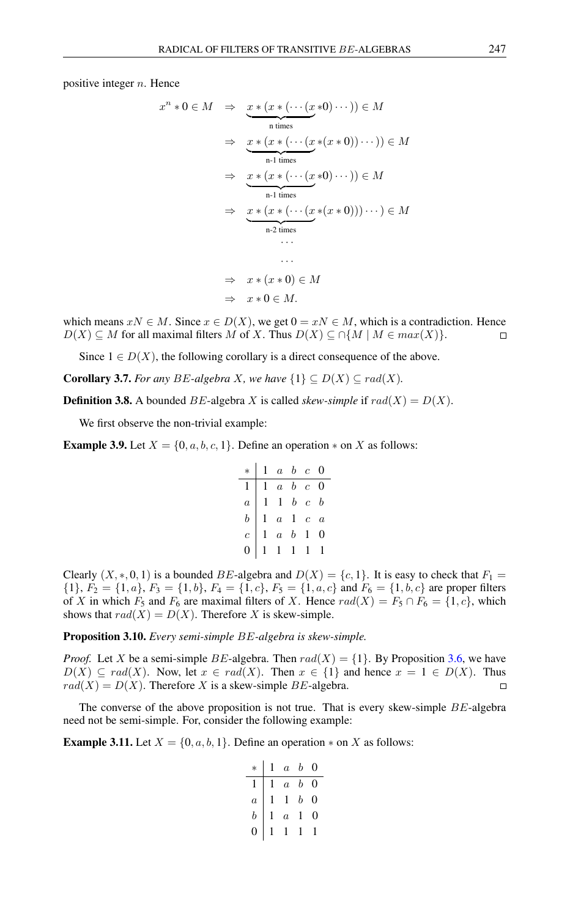positive integer  $n$ . Hence

$$
x^{n} * 0 \in M \Rightarrow \underbrace{x * (x * ( \cdots (x * 0) \cdots ) ) \in M}_{n \text{ times}}
$$
  
\n
$$
\Rightarrow \underbrace{x * (x * ( \cdots (x * (x * 0)) \cdots ) ) \in M}_{n-1 \text{ times}}
$$
  
\n
$$
\Rightarrow \underbrace{x * (x * ( \cdots (x * 0) \cdots ) ) \in M}_{n-1 \text{ times}}
$$
  
\n
$$
\Rightarrow \underbrace{x * (x * ( \cdots (x * (x * 0))) \cdots ) \in M}_{n-2 \text{ times}}
$$
  
\n
$$
\cdots
$$
  
\n
$$
\Rightarrow x * (x * 0) \in M
$$
  
\n
$$
\Rightarrow x * 0 \in M.
$$

which means  $xN \in M$ . Since  $x \in D(X)$ , we get  $0 = xN \in M$ , which is a contradiction. Hence  $D(X) \subseteq M$  for all maximal filters M of X. Thus  $D(X) \subseteq \cap \{M \mid M \in max(X)\}.$  $\Box$ 

Since  $1 \in D(X)$ , the following corollary is a direct consequence of the above.

**Corollary 3.7.** *For any BE*-algebra *X, we have*  $\{1\} \subseteq D(X) \subseteq rad(X)$ *.* 

**Definition 3.8.** A bounded *BE*-algebra *X* is called *skew-simple* if  $rad(X) = D(X)$ .

We first observe the non-trivial example:

**Example 3.9.** Let  $X = \{0, a, b, c, 1\}$ . Define an operation  $*$  on X as follows:

$$
\begin{array}{c|cccc}\n* & 1 & a & b & c & 0 \\
\hline\n1 & 1 & a & b & c & 0 \\
a & 1 & 1 & b & c & b \\
b & 1 & a & 1 & c & a \\
c & 1 & a & b & 1 & 0 \\
0 & 1 & 1 & 1 & 1 & 1\n\end{array}
$$

Clearly  $(X,*,0,1)$  is a bounded BE-algebra and  $D(X) = \{c, 1\}$ . It is easy to check that  $F_1 =$  $\{1\}, F_2 = \{1, a\}, F_3 = \{1, b\}, F_4 = \{1, c\}, F_5 = \{1, a, c\}$  and  $F_6 = \{1, b, c\}$  are proper filters of X in which  $F_5$  and  $F_6$  are maximal filters of X. Hence  $rad(X) = F_5 \cap F_6 = \{1, c\}$ , which shows that  $rad(X) = D(X)$ . Therefore X is skew-simple.

Proposition 3.10. *Every semi-simple* BE*-algebra is skew-simple.*

*Proof.* Let X be a semi-simple BE-algebra. Then  $rad(X) = \{1\}$ . By Proposition [3.6,](#page-3-0) we have  $D(X) \subseteq rad(X)$ . Now, let  $x \in rad(X)$ . Then  $x \in \{1\}$  and hence  $x = 1 \in D(X)$ . Thus  $rad(X) = D(X)$ . Therefore X is a skew-simple BE-algebra.  $\Box$ 

The converse of the above proposition is not true. That is every skew-simple  $BE$ -algebra need not be semi-simple. For, consider the following example:

**Example 3.11.** Let  $X = \{0, a, b, 1\}$ . Define an operation  $*$  on X as follows:

|                |                | $1 \quad a \quad b$ |             | 0 |
|----------------|----------------|---------------------|-------------|---|
|                |                |                     | $a \quad b$ | 0 |
| $\overline{a}$ | $\mathfrak{t}$ |                     | $1\;\;b$    | 0 |
| $\bar{b}$      |                | $\overline{a}$      | 1           | 0 |
|                |                |                     | ŧ           |   |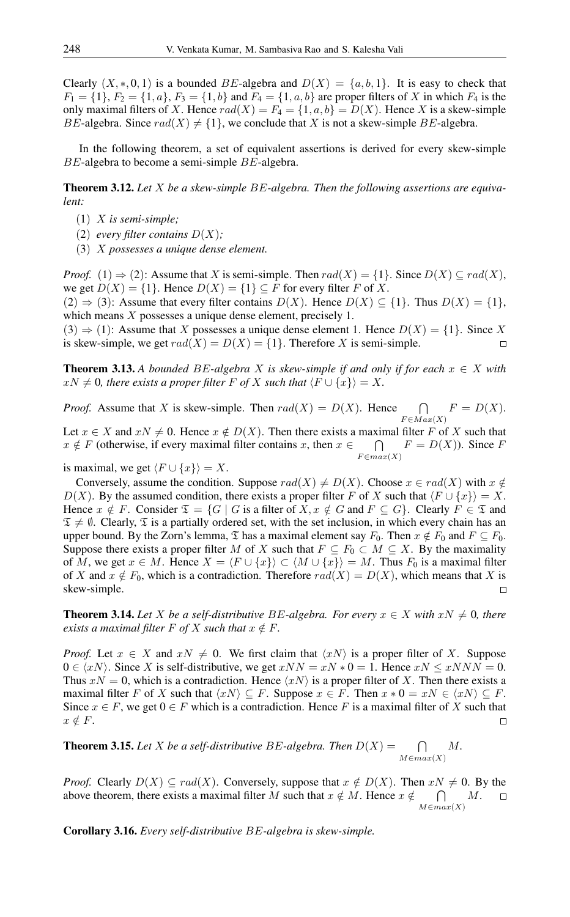Clearly  $(X,*,0,1)$  is a bounded BE-algebra and  $D(X) = \{a,b,1\}$ . It is easy to check that  $F_1 = \{1\}, F_2 = \{1, a\}, F_3 = \{1, b\}$  and  $F_4 = \{1, a, b\}$  are proper filters of X in which  $F_4$  is the only maximal filters of X. Hence  $rad(X) = F_4 = \{1, a, b\} = D(X)$ . Hence X is a skew-simple BE-algebra. Since  $rad(X) \neq \{1\}$ , we conclude that X is not a skew-simple BE-algebra.

In the following theorem, a set of equivalent assertions is derived for every skew-simple BE-algebra to become a semi-simple BE-algebra.

Theorem 3.12. *Let* X *be a skew-simple* BE*-algebra. Then the following assertions are equivalent:*

- (1) X *is semi-simple;*
- (2) *every filter contains*  $D(X)$ ;
- (3) X *possesses a unique dense element.*

*Proof.* (1)  $\Rightarrow$  (2): Assume that X is semi-simple. Then rad(X) = {1}. Since  $D(X) \subseteq rad(X)$ , we get  $D(X) = \{1\}$ . Hence  $D(X) = \{1\} \subseteq F$  for every filter F of X.

 $(2) \Rightarrow (3)$ : Assume that every filter contains  $D(X)$ . Hence  $D(X) \subseteq \{1\}$ . Thus  $D(X) = \{1\}$ , which means X possesses a unique dense element, precisely 1.

 $(3) \Rightarrow (1)$ : Assume that X possesses a unique dense element 1. Hence  $D(X) = \{1\}$ . Since X is skew-simple, we get  $rad(X) = D(X) = \{1\}$ . Therefore X is semi-simple.  $\Box$ 

**Theorem 3.13.** A bounded BE-algebra X is skew-simple if and only if for each  $x \in X$  with  $xN \neq 0$ , there exists a proper filter F of X such that  $\langle F \cup \{x\} \rangle = X$ .

*Proof.* Assume that X is skew-simple. Then  $rad(X) = D(X)$ . Hence  $\bigcap$  $F \in Max(X)$  $F = D(X).$ 

Let  $x \in X$  and  $xN \neq 0$ . Hence  $x \notin D(X)$ . Then there exists a maximal filter F of X such that  $x \notin F$  (otherwise, if every maximal filter contains x, then  $x \in$  $\bigcap$  $F \in max(X)$  $F = D(X)$ ). Since F

is maximal, we get  $\langle F \cup \{x\} \rangle = X$ .

Conversely, assume the condition. Suppose  $rad(X) \neq D(X)$ . Choose  $x \in rad(X)$  with  $x \notin$  $D(X)$ . By the assumed condition, there exists a proper filter F of X such that  $\langle F \cup \{x\} \rangle = X$ . Hence  $x \notin F$ . Consider  $\mathfrak{T} = \{G \mid G \text{ is a filter of } X, x \notin G \text{ and } F \subseteq G\}$ . Clearly  $F \in \mathfrak{T}$  and  $\mathfrak{T} \neq \emptyset$ . Clearly,  $\mathfrak{T}$  is a partially ordered set, with the set inclusion, in which every chain has an upper bound. By the Zorn's lemma,  $\mathfrak T$  has a maximal element say  $F_0$ . Then  $x \notin F_0$  and  $F \subseteq F_0$ . Suppose there exists a proper filter M of X such that  $F \subseteq F_0 \subset M \subseteq X$ . By the maximality of M, we get  $x \in M$ . Hence  $X = \langle F \cup \{x\} \rangle \subset \langle M \cup \{x\} \rangle = M$ . Thus  $F_0$  is a maximal filter of X and  $x \notin F_0$ , which is a contradiction. Therefore  $rad(X) = D(X)$ , which means that X is skew-simple.  $\Box$ 

**Theorem 3.14.** Let *X* be a self-distributive BE-algebra. For every  $x \in X$  with  $xN \neq 0$ , there *exists a maximal filter*  $F$  *of*  $X$  *such that*  $x \notin F$ *.* 

*Proof.* Let  $x \in X$  and  $xN \neq 0$ . We first claim that  $\langle xN \rangle$  is a proper filter of X. Suppose  $0 \in \langle xN \rangle$ . Since X is self-distributive, we get  $xNN = xN * 0 = 1$ . Hence  $xN \le xNNN = 0$ . Thus  $xN = 0$ , which is a contradiction. Hence  $\langle xN \rangle$  is a proper filter of X. Then there exists a maximal filter F of X such that  $\langle xN \rangle \subseteq F$ . Suppose  $x \in F$ . Then  $x * 0 = xN \in \langle xN \rangle \subseteq F$ . Since  $x \in F$ , we get  $0 \in F$  which is a contradiction. Hence F is a maximal filter of X such that  $x \notin F$ .  $\Box$ 

**Theorem 3.15.** Let *X* be a self-distributive BE-algebra. Then  $D(X) = \bigcap$  $M \in max(X)$ M*.*

*Proof.* Clearly  $D(X) \subseteq rad(X)$ . Conversely, suppose that  $x \notin D(X)$ . Then  $xN \neq 0$ . By the above theorem, there exists a maximal filter M such that  $x \notin M$ . Hence  $x \notin$  $\cap$ M.  $\Box$  $M\in max(X)$ 

Corollary 3.16. *Every self-distributive* BE*-algebra is skew-simple.*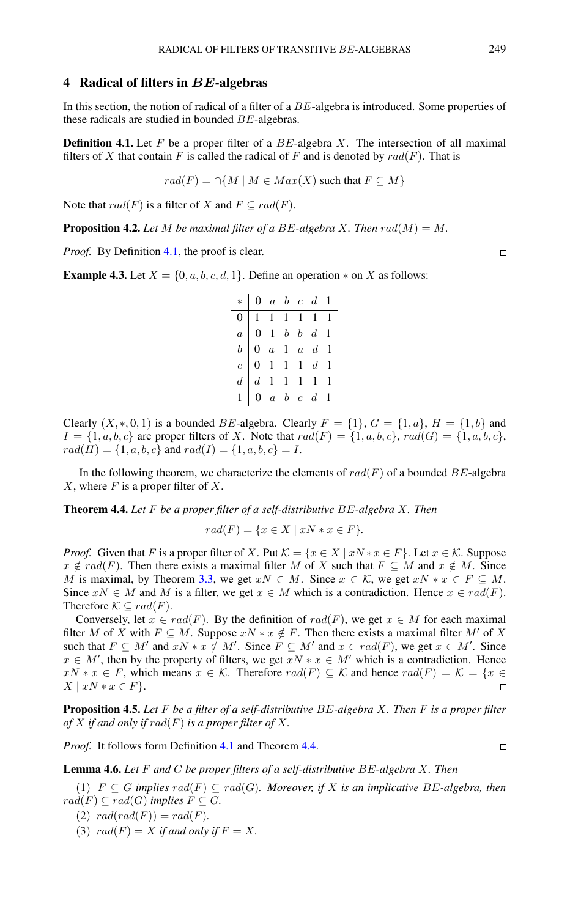#### 4 Radical of filters in BE-algebras

In this section, the notion of radical of a filter of a BE-algebra is introduced. Some properties of these radicals are studied in bounded BE-algebras.

<span id="page-6-0"></span>**Definition 4.1.** Let F be a proper filter of a  $BE$ -algebra X. The intersection of all maximal filters of X that contain F is called the radical of F and is denoted by  $rad(F)$ . That is

$$
rad(F) = \cap \{ M \mid M \in Max(X) \text{ such that } F \subseteq M \}
$$

Note that  $rad(F)$  is a filter of X and  $F \subseteq rad(F)$ .

**Proposition 4.2.** Let M be maximal filter of a BE-algebra X. Then  $rad(M) = M$ .

*Proof.* By Definition [4.1,](#page-6-0) the proof is clear.

**Example 4.3.** Let  $X = \{0, a, b, c, d, 1\}$ . Define an operation  $*$  on X as follows:

| $*$ 0 a b c d 1                                                                                                                                                                                                                                                                 |  |  |  |
|---------------------------------------------------------------------------------------------------------------------------------------------------------------------------------------------------------------------------------------------------------------------------------|--|--|--|
|                                                                                                                                                                                                                                                                                 |  |  |  |
|                                                                                                                                                                                                                                                                                 |  |  |  |
|                                                                                                                                                                                                                                                                                 |  |  |  |
|                                                                                                                                                                                                                                                                                 |  |  |  |
|                                                                                                                                                                                                                                                                                 |  |  |  |
| $\begin{tabular}{ c c c c c } \hline 0 & 1 & 1 & 1 & 1 & 1 & 1 \\ \hline $a$ & 0 & 1 & $b$ & $b$ & $d$ & 1 \\ $b$ & 0 & $a$ & 1 & $a$ & $d$ & 1 \\ $c$ & 0 & 1 & 1 & 1 & $d$ & 1 \\ $d$ & 1 & 1 & 1 & 1 & 1 & 1 \\ $1$ & 0 & $a$ & $b$ & $c$ & $d$ & 1 \\ \hline \end{tabular}$ |  |  |  |

Clearly  $(X,*,0,1)$  is a bounded BE-algebra. Clearly  $F = \{1\}$ ,  $G = \{1,a\}$ ,  $H = \{1,b\}$  and  $I = \{1, a, b, c\}$  are proper filters of X. Note that  $rad(F) = \{1, a, b, c\}$ ,  $rad(G) = \{1, a, b, c\}$ ,  $rad(H) = \{1, a, b, c\}$  and  $rad(I) = \{1, a, b, c\} = I$ .

In the following theorem, we characterize the elements of  $rad(F)$  of a bounded BE-algebra  $X$ , where  $F$  is a proper filter of  $X$ .

<span id="page-6-1"></span>Theorem 4.4. *Let* F *be a proper filter of a self-distributive* BE*-algebra* X*. Then*

$$
rad(F) = \{ x \in X \mid xN \ast x \in F \}.
$$

*Proof.* Given that F is a proper filter of X. Put  $\mathcal{K} = \{x \in X \mid xN \cdot x \in F\}$ . Let  $x \in \mathcal{K}$ . Suppose  $x \notin rad(F)$ . Then there exists a maximal filter M of X such that  $F \subseteq M$  and  $x \notin M$ . Since M is maximal, by Theorem [3.3,](#page-3-1) we get  $xN \in M$ . Since  $x \in \mathcal{K}$ , we get  $xN \cdot x \in F \subseteq M$ . Since  $xN \in M$  and M is a filter, we get  $x \in M$  which is a contradiction. Hence  $x \in rad(F)$ . Therefore  $K \subseteq rad(F)$ .

Conversely, let  $x \in rad(F)$ . By the definition of  $rad(F)$ , we get  $x \in M$  for each maximal filter M of X with  $F \subseteq M$ . Suppose  $xN \times x \notin F$ . Then there exists a maximal filter M' of X such that  $F \subseteq M'$  and  $xN \times x \notin M'$ . Since  $F \subseteq M'$  and  $x \in rad(F)$ , we get  $x \in M'$ . Since  $x \in M'$ , then by the property of filters, we get  $xN \times x \in M'$  which is a contradiction. Hence  $xN * x \in F$ , which means  $x \in \mathcal{K}$ . Therefore  $rad(F) \subseteq \mathcal{K}$  and hence  $rad(F) = \mathcal{K} = \{x \in$  $X \mid xN \ast x \in F$ .  $\Box$ 

<span id="page-6-2"></span>Proposition 4.5. *Let* F *be a filter of a self-distributive* BE*-algebra* X*. Then* F *is a proper filter of* X *if and only if* rad(F) *is a proper filter of* X*.*

*Proof.* It follows form Definition [4.1](#page-6-0) and Theorem [4.4.](#page-6-1)

 $\Box$ 

<span id="page-6-3"></span>Lemma 4.6. *Let* F *and* G *be proper filters of a self-distributive* BE*-algebra* X*. Then*

(1)  $F \subseteq G$  *implies*  $rad(F) \subseteq rad(G)$ *. Moreover, if* X *is an implicative* BE-algebra, then  $rad(F) \subseteq rad(G)$  *implies*  $F \subseteq G$ .

(2)  $rad(rad(F)) = rad(F)$ .

(3)  $rad(F) = X$  *if and only if*  $F = X$ *.* 

 $\Box$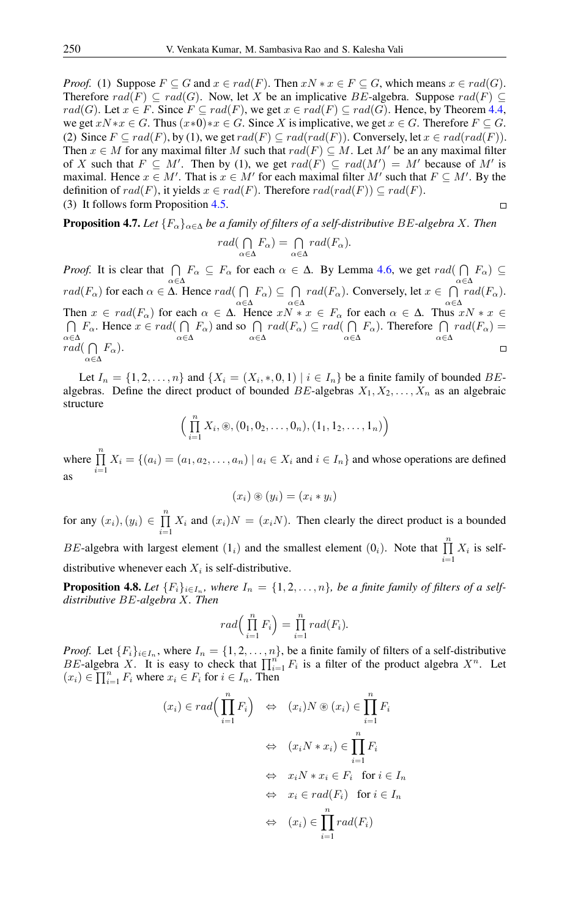*Proof.* (1) Suppose  $F \subseteq G$  and  $x \in rad(F)$ . Then  $xN \times x \in F \subseteq G$ , which means  $x \in rad(G)$ . Therefore  $rad(F) \subseteq rad(G)$ . Now, let X be an implicative BE-algebra. Suppose  $rad(F) \subseteq rad(G)$ . rad(G). Let  $x \in F$ . Since  $F \subseteq rad(F)$ , we get  $x \in rad(F) \subseteq rad(G)$ . Hence, by Theorem [4.4,](#page-6-1) we get  $xN \cdot x \in G$ . Thus  $(x \cdot 0) \cdot x \in G$ . Since X is implicative, we get  $x \in G$ . Therefore  $F \subseteq G$ . (2) Since  $F \subseteq rad(F)$ , by (1), we get  $rad(F) \subseteq rad(rad(F))$ . Conversely, let  $x \in rad(rad(F))$ . Then  $x \in M$  for any maximal filter M such that  $rad(F) \subseteq M$ . Let M' be an any maximal filter of X such that  $F \subseteq M'$ . Then by (1), we get  $rad(F) \subseteq rad(M') = M'$  because of M' is maximal. Hence  $x \in M'$ . That is  $x \in M'$  for each maximal filter M' such that  $F \subseteq M'$ . By the definition of  $rad(F)$ , it yields  $x \in rad(F)$ . Therefore  $rad(rad(F)) \subseteq rad(F)$ . (3) It follows form Proposition [4.5.](#page-6-2)  $\Box$ 

<span id="page-7-0"></span>**Proposition 4.7.** *Let*  ${F_{\alpha}}_{\alpha \in \Delta}$  *be a family of filters of a self-distributive BE-algebra X. Then* 

$$
rad(\bigcap_{\alpha \in \Delta} F_{\alpha}) = \bigcap_{\alpha \in \Delta} rad(F_{\alpha}).
$$

*Proof.* It is clear that  $\bigcap$  $F_{\alpha} \subseteq F_{\alpha}$  for each  $\alpha \in \Delta$ . By Lemma [4.6,](#page-6-3) we get rad(  $F_{\alpha}$ )  $\subseteq$ α∈∆ α∈∆  $rad(F_{\alpha})$  for each  $\alpha \in \Delta$ . Hence  $rad(\bigcap$  $F_{\alpha}$ )  $\subseteq \bigcap$  $rad(F_\alpha)$ . Conversely, let  $x \in \bigcap$  $rad(F_{\alpha})$ . α∈∆ α∈∆ α∈∆ Then  $x \in rad(F_\alpha)$  for each  $\alpha \in \Delta$ . Hence  $xN * x \in F_\alpha$  for each  $\alpha \in \Delta$ . Thus  $xN * x \in$ ⋂  $F_{\alpha}$ . Hence  $x \in rad(\bigcap$  $F_{\alpha}$ ) and so  $\bigcap$  $rad(F_\alpha) \subseteq rad(\bigcap$  $F_{\alpha}$ ). Therefore  $\bigcap$  $rad(F_{\alpha}) =$ α∈∆ α∈∆ α∈∆ α∈∆ α∈∆ rad $(\bigcap F_{\alpha})$ .  $\Box$ α∈∆

Let  $I_n = \{1, 2, \ldots, n\}$  and  $\{X_i = (X_i, *, 0, 1) \mid i \in I_n\}$  be a finite family of bounded  $BE$ algebras. Define the direct product of bounded BE-algebras  $X_1, X_2, \ldots, X_n$  as an algebraic structure

$$
\left(\prod_{i=1}^n X_i, \circledast, (0_1, 0_2, \ldots, 0_n), (1_1, 1_2, \ldots, 1_n)\right)
$$

where  $\prod_{n=1}^n$  $\prod_{i=1} X_i = \{(a_i) = (a_1, a_2, \dots, a_n) \mid a_i \in X_i \text{ and } i \in I_n \}$  and whose operations are defined as

$$
(x_i) \circledast (y_i) = (x_i * y_i)
$$

for any  $(x_i), (y_i) \in \prod^n$  $\prod_{i=1} X_i$  and  $(x_i)N = (x_iN)$ . Then clearly the direct product is a bounded

BE-algebra with largest element  $(1_i)$  and the smallest element  $(0_i)$ . Note that  $\prod_{i=1}^{n} X_i$  is selfdistributive whenever each  $X_i$  is self-distributive.

<span id="page-7-1"></span>**Proposition 4.8.** Let  $\{F_i\}_{i\in I_n}$ , where  $I_n = \{1, 2, ..., n\}$ , be a finite family of filters of a self*distributive* BE*-algebra* X*. Then*

$$
rad\left(\prod_{i=1}^n F_i\right) = \prod_{i=1}^n rad(F_i).
$$

*Proof.* Let  $\{F_i\}_{i\in I_n}$ , where  $I_n = \{1, 2, ..., n\}$ , be a finite family of filters of a self-distributive BE-algebra X. It is easy to check that  $\prod_{i=1}^{n} F_i$  is a filter of the product algebra  $X^n$ . Let  $(x_i) \in \prod_{i=1}^n F_i$  where  $x_i \in F_i$  for  $i \in I_n$ . Then

$$
(x_i) \in rad\left(\prod_{i=1}^n F_i\right) \Leftrightarrow (x_i)N \circledast (x_i) \in \prod_{i=1}^n F_i
$$
  

$$
\Leftrightarrow (x_iN * x_i) \in \prod_{i=1}^n F_i
$$
  

$$
\Leftrightarrow x_iN * x_i \in F_i \text{ for } i \in I_n
$$
  

$$
\Leftrightarrow x_i \in rad(F_i) \text{ for } i \in I_n
$$
  

$$
\Leftrightarrow (x_i) \in \prod_{i=1}^n rad(F_i)
$$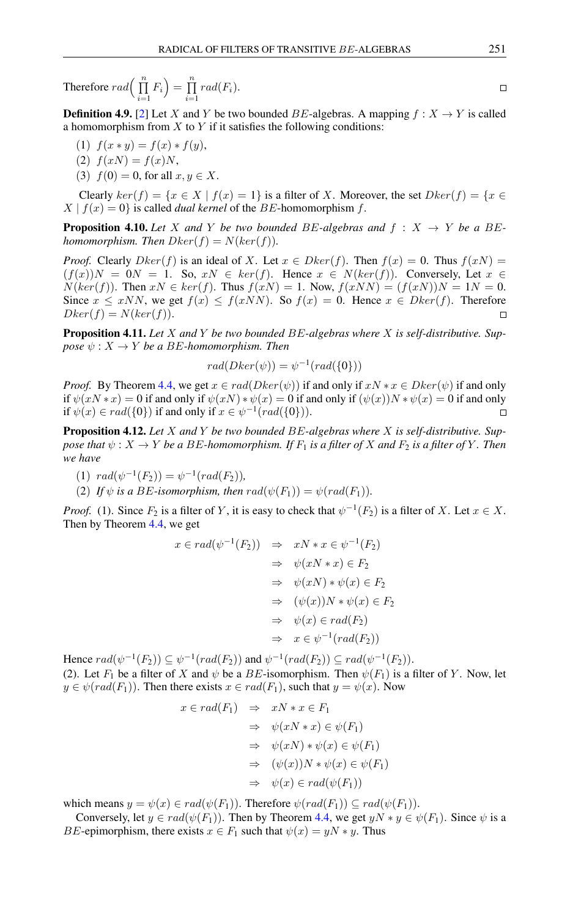Therefore 
$$
rad\left(\prod_{i=1}^{n} F_i\right) = \prod_{i=1}^{n} rad(F_i)
$$
.

**Definition 4.9.** [\[2\]](#page-12-16) Let X and Y be two bounded BE-algebras. A mapping  $f : X \to Y$  is called a homomorphism from  $X$  to  $Y$  if it satisfies the following conditions:

- (1)  $f(x * y) = f(x) * f(y),$
- (2)  $f(xN) = f(x)N$ ,
- (3)  $f(0) = 0$ , for all  $x, y \in X$ .

Clearly  $ker(f) = \{x \in X \mid f(x) = 1\}$  is a filter of X. Moreover, the set  $Dker(f) = \{x \in X \mid f(x) = 1\}$  $X | f(x) = 0$  is called *dual kernel* of the *BE*-homomorphism *f*.

**Proposition 4.10.** Let X and Y be two bounded BE-algebras and  $f : X \rightarrow Y$  be a BE*homomorphism. Then*  $Dker(f) = N(ker(f))$ .

*Proof.* Clearly  $D\text{ker}(f)$  is an ideal of X. Let  $x \in D\text{ker}(f)$ . Then  $f(x) = 0$ . Thus  $f(xN) =$  $(f(x))N = 0N = 1$ . So,  $xN \in ker(f)$ . Hence  $x \in N(ker(f))$ . Conversely, Let  $x \in$  $N(ker(f))$ . Then  $xN \in ker(f)$ . Thus  $f(xN) = 1$ . Now,  $f(xNN) = (f(xN))N = 1N = 0$ . Since  $x \leq xNN$ , we get  $f(x) \leq f(xNN)$ . So  $f(x) = 0$ . Hence  $x \in Dker(f)$ . Therefore  $Dker(f) = N(ker(f)).$ 

Proposition 4.11. *Let* X *and* Y *be two bounded* BE*-algebras where* X *is self-distributive. Suppose*  $\psi$  :  $X \rightarrow Y$  *be a BE*-homomorphism. Then

$$
rad(Dker(\psi)) = \psi^{-1}(rad(\{0\}))
$$

*Proof.* By Theorem [4.4,](#page-6-1) we get  $x \in rad(Dker(\psi))$  if and only if  $xN \times x \in Dker(\psi)$  if and only if  $\psi(xN * x) = 0$  if and only if  $\psi(xN) * \psi(x) = 0$  if and only if  $(\psi(x))N * \psi(x) = 0$  if and only if  $\psi(x) \in rad({0})$  if and only if  $x \in \psi^{-1}(rad({0})).$ 

<span id="page-8-0"></span>Proposition 4.12. *Let* X *and* Y *be two bounded* BE*-algebras where* X *is self-distributive. Suppose that*  $\psi$  :  $X \to Y$  *be a* BE-homomorphism. If  $F_1$  *is a filter of* X *and*  $F_2$  *is a filter of* Y. Then *we have*

- (1)  $rad(\psi^{-1}(F_2)) = \psi^{-1}(rad(F_2)),$
- (2) *If*  $\psi$  *is a BE-isomorphism, then*  $rad(\psi(F_1)) = \psi(rad(F_1))$ *.*

*Proof.* (1). Since  $F_2$  is a filter of Y, it is easy to check that  $\psi^{-1}(F_2)$  is a filter of X. Let  $x \in X$ . Then by Theorem [4.4,](#page-6-1) we get

$$
x \in rad(\psi^{-1}(F_2)) \Rightarrow xN * x \in \psi^{-1}(F_2)
$$
  
\n
$$
\Rightarrow \psi(xN * x) \in F_2
$$
  
\n
$$
\Rightarrow \psi(xN) * \psi(x) \in F_2
$$
  
\n
$$
\Rightarrow (\psi(x))N * \psi(x) \in F_2
$$
  
\n
$$
\Rightarrow \psi(x) \in rad(F_2)
$$
  
\n
$$
\Rightarrow x \in \psi^{-1}(rad(F_2))
$$

Hence  $rad(\psi^{-1}(F_2)) \subseteq \psi^{-1}(rad(F_2))$  and  $\psi^{-1}(rad(F_2)) \subseteq rad(\psi^{-1}(F_2))$ .

(2). Let  $F_1$  be a filter of X and  $\psi$  be a BE-isomorphism. Then  $\psi(F_1)$  is a filter of Y. Now, let  $y \in \psi(rad(F_1))$ . Then there exists  $x \in rad(F_1)$ , such that  $y = \psi(x)$ . Now

$$
x \in rad(F_1) \Rightarrow xN * x \in F_1
$$
  
\n
$$
\Rightarrow \psi(xN * x) \in \psi(F_1)
$$
  
\n
$$
\Rightarrow \psi(xN) * \psi(x) \in \psi(F_1)
$$
  
\n
$$
\Rightarrow (\psi(x))N * \psi(x) \in \psi(F_1)
$$
  
\n
$$
\Rightarrow \psi(x) \in rad(\psi(F_1))
$$

which means  $y = \psi(x) \in rad(\psi(F_1))$ . Therefore  $\psi(rad(F_1)) \subseteq rad(\psi(F_1))$ .

Conversely, let  $y \in rad(\psi(F_1))$ . Then by Theorem [4.4,](#page-6-1) we get  $yN * y \in \psi(F_1)$ . Since  $\psi$  is a *BE*-epimorphism, there exists  $x \in F_1$  such that  $\psi(x) = yN * y$ . Thus

$$
\qquad \qquad \Box
$$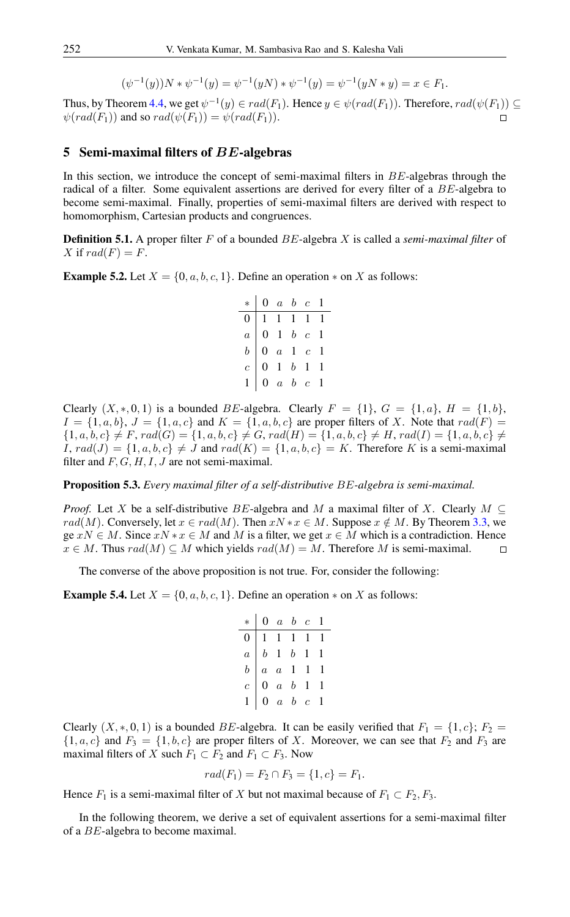$$
(\psi^{-1}(y))N * \psi^{-1}(y) = \psi^{-1}(yN) * \psi^{-1}(y) = \psi^{-1}(yN * y) = x \in F_1.
$$

Thus, by Theorem [4.4,](#page-6-1) we get  $\psi^{-1}(y) \in rad(F_1)$ . Hence  $y \in \psi(rad(F_1))$ . Therefore,  $rad(\psi(F_1)) \subseteq$  $\psi(rad(F_1))$  and so  $rad(\psi(F_1)) = \psi(rad(F_1)).$ 

#### 5 Semi-maximal filters of  $BE$ -algebras

In this section, we introduce the concept of semi-maximal filters in BE-algebras through the radical of a filter. Some equivalent assertions are derived for every filter of a BE-algebra to become semi-maximal. Finally, properties of semi-maximal filters are derived with respect to homomorphism, Cartesian products and congruences.

Definition 5.1. A proper filter F of a bounded BE-algebra X is called a *semi-maximal filter* of X if  $rad(F) = F$ .

**Example 5.2.** Let  $X = \{0, a, b, c, 1\}$ . Define an operation  $*$  on X as follows:

| $*$ 0 a b c 1                                                                                                                                                                                                          |  |  |
|------------------------------------------------------------------------------------------------------------------------------------------------------------------------------------------------------------------------|--|--|
|                                                                                                                                                                                                                        |  |  |
|                                                                                                                                                                                                                        |  |  |
|                                                                                                                                                                                                                        |  |  |
|                                                                                                                                                                                                                        |  |  |
| $\begin{tabular}{ c c c c c } \hline 0 & 1 & 1 & 1 & 1 & 1 \\ \hline $a$ & 0 & 1 & $b$ & $c$ & 1 \\ $b$ & 0 & $a$ & 1 & $c$ & 1 \\ $c$ & 0 & 1 & $b$ & 1 & 1 \\ $1$ & 0 & $a$ & $b$ & $c$ & 1 \\ \hline \end{tabular}$ |  |  |

Clearly  $(X,*,0,1)$  is a bounded BE-algebra. Clearly  $F = \{1\}$ ,  $G = \{1,a\}$ ,  $H = \{1,b\}$ ,  $I = \{1, a, b\}, J = \{1, a, c\}$  and  $K = \{1, a, b, c\}$  are proper filters of X. Note that  $rad(F)$  $\{1, a, b, c\} \neq F$ ,  $rad(G) = \{1, a, b, c\} \neq G$ ,  $rad(H) = \{1, a, b, c\} \neq H$ ,  $rad(I) = \{1, a, b, c\} \neq F$  $I, rad(J) = \{1, a, b, c\} \neq J$  and  $rad(K) = \{1, a, b, c\} = K$ . Therefore K is a semi-maximal filter and  $F, G, H, I, J$  are not semi-maximal.

Proposition 5.3. *Every maximal filter of a self-distributive* BE*-algebra is semi-maximal.*

*Proof.* Let X be a self-distributive BE-algebra and M a maximal filter of X. Clearly  $M \subseteq$ rad(M). Conversely, let  $x \in rad(M)$ . Then  $xN \times x \in M$ . Suppose  $x \notin M$ . By Theorem [3.3,](#page-3-1) we  $ge xN \in M$ . Since  $xN * x \in M$  and M is a filter, we get  $x \in M$  which is a contradiction. Hence  $x \in M$ . Thus  $rad(M) \subseteq M$  which yields  $rad(M) = M$ . Therefore M is semi-maximal.  $\Box$ 

The converse of the above proposition is not true. For, consider the following:

**Example 5.4.** Let  $X = \{0, a, b, c, 1\}$ . Define an operation  $*$  on X as follows:

| $*$ 0 a b c 1                                                                                                                                                                                                              |  |  |
|----------------------------------------------------------------------------------------------------------------------------------------------------------------------------------------------------------------------------|--|--|
|                                                                                                                                                                                                                            |  |  |
|                                                                                                                                                                                                                            |  |  |
|                                                                                                                                                                                                                            |  |  |
| $\begin{tabular}{ c c c c } \hline 0 & 1 & 1 & 1 & 1 & 1 \\ \hline $a$ & $b$ & 1 & $b$ & 1 & 1 \\ $b$ & $a$ & $a$ & 1 & 1 & 1 \\ $c$ & $0$ & $a$ & $b$ & 1 & 1 \\ $1$ & $0$ & $a$ & $b$ & $c$ & 1 \\ \hline \end{tabular}$ |  |  |
|                                                                                                                                                                                                                            |  |  |

Clearly  $(X,*,0,1)$  is a bounded BE-algebra. It can be easily verified that  $F_1 = \{1,c\}$ ;  $F_2 =$  $\{1, a, c\}$  and  $F_3 = \{1, b, c\}$  are proper filters of X. Moreover, we can see that  $F_2$  and  $F_3$  are maximal filters of X such  $F_1 \subset F_2$  and  $F_1 \subset F_3$ . Now

$$
rad(F_1) = F_2 \cap F_3 = \{1, c\} = F_1.
$$

Hence  $F_1$  is a semi-maximal filter of X but not maximal because of  $F_1 \subset F_2, F_3$ .

In the following theorem, we derive a set of equivalent assertions for a semi-maximal filter of a BE-algebra to become maximal.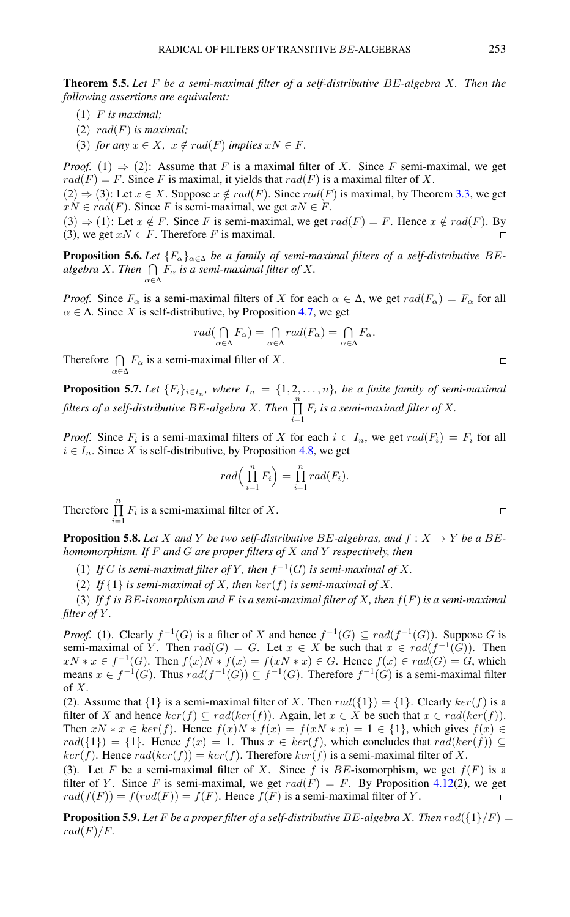Theorem 5.5. *Let* F *be a semi-maximal filter of a self-distributive* BE*-algebra* X*. Then the following assertions are equivalent:*

- (1) F *is maximal;*
- (2) rad(F) *is maximal;*
- (3) *for any*  $x \in X$ ,  $x \notin rad(F)$  *implies*  $xN \in F$ .

*Proof.* (1)  $\Rightarrow$  (2): Assume that F is a maximal filter of X. Since F semi-maximal, we get  $rad(F) = F$ . Since F is maximal, it yields that  $rad(F)$  is a maximal filter of X.

 $(2) \Rightarrow (3)$ : Let  $x \in X$ . Suppose  $x \notin rad(F)$ . Since  $rad(F)$  is maximal, by Theorem [3.3,](#page-3-1) we get  $xN \in rad(F)$ . Since F is semi-maximal, we get  $xN \in F$ .

(3)  $\Rightarrow$  (1): Let  $x \notin F$ . Since F is semi-maximal, we get  $rad(F) = F$ . Hence  $x \notin rad(F)$ . By (3), we get  $xN \in F$ . Therefore F is maximal.

**Proposition 5.6.** Let  ${F_{\alpha}}_{\alpha \in \Delta}$  be a family of semi-maximal filters of a self-distributive BEalgebra X. Then  $\bigcap\ F_\alpha$  is a semi-maximal filter of X. α∈∆

*Proof.* Since  $F_\alpha$  is a semi-maximal filters of X for each  $\alpha \in \Delta$ , we get  $rad(F_\alpha) = F_\alpha$  for all  $\alpha \in \Delta$ . Since X is self-distributive, by Proposition [4.7,](#page-7-0) we get

$$
rad(\bigcap_{\alpha \in \Delta} F_{\alpha}) = \bigcap_{\alpha \in \Delta} rad(F_{\alpha}) = \bigcap_{\alpha \in \Delta} F_{\alpha}.
$$

Therefore  $\bigcap F_{\alpha}$  is a semi-maximal filter of X. α∈∆

**Proposition 5.7.** Let  $\{F_i\}_{i\in I_n}$ , where  $I_n = \{1, 2, ..., n\}$ , be a finite family of semi-maximal *filters of a self-distributive* BE-algebra X. Then  $\prod_{i=1}^n$  $\prod_{i=1} F_i$  is a semi-maximal filter of X.

*Proof.* Since  $F_i$  is a semi-maximal filters of X for each  $i \in I_n$ , we get  $rad(F_i) = F_i$  for all  $i \in I_n$ . Since X is self-distributive, by Proposition [4.8,](#page-7-1) we get

$$
rad\left(\prod_{i=1}^n F_i\right) = \prod_{i=1}^n rad(F_i).
$$

Therefore  $\prod_{n=1}^n$  $\prod_{i=1} F_i$  is a semi-maximal filter of X.

**Proposition 5.8.** Let X and Y be two self-distributive BE-algebras, and  $f: X \rightarrow Y$  be a BE*homomorphism. If* F *and* G *are proper filters of* X *and* Y *respectively, then*

(1) If G is semi-maximal filter of Y, then  $f^{-1}(G)$  is semi-maximal of X.

(2) If  $\{1\}$  *is semi-maximal of* X, then  $\ker(f)$  *is semi-maximal of* X.

(3) *If* f *is* BE*-isomorphism and* F *is a semi-maximal filter of* X*, then* f(F) *is a semi-maximal filter of* Y *.*

*Proof.* (1). Clearly  $f^{-1}(G)$  is a filter of X and hence  $f^{-1}(G) \subseteq rad(f^{-1}(G))$ . Suppose G is semi-maximal of Y. Then  $rad(G) = G$ . Let  $x \in X$  be such that  $x \in rad(f^{-1}(G))$ . Then  $xN * x \in f^{-1}(G)$ . Then  $f(x)N * f(x) = f(xN * x) \in G$ . Hence  $f(x) \in rad(G) = G$ , which means  $x \in f^{-1}(G)$ . Thus  $rad(f^{-1}(G)) \subseteq f^{-1}(G)$ . Therefore  $f^{-1}(G)$  is a semi-maximal filter of X.

(2). Assume that  $\{1\}$  is a semi-maximal filter of X. Then  $rad(\{1\}) = \{1\}$ . Clearly  $ker(f)$  is a filter of X and hence  $ker(f) \subseteq rad(ker(f))$ . Again, let  $x \in X$  be such that  $x \in rad(ker(f))$ . Then  $xN * x \in ker(f)$ . Hence  $f(x)N * f(x) = f(xN * x) = 1 \in \{1\}$ , which gives  $f(x) \in$  $rad({1}) = {1}$ . Hence  $f(x) = 1$ . Thus  $x \in ker(f)$ , which concludes that  $rad(ker(f)) \subseteq$  $ker(f)$ . Hence  $rad(ker(f)) = ker(f)$ . Therefore  $ker(f)$  is a semi-maximal filter of X.

(3). Let F be a semi-maximal filter of X. Since f is BE-isomorphism, we get  $f(F)$  is a filter of Y. Since F is semi-maximal, we get  $rad(F) = F$ . By Proposition [4.12\(](#page-8-0)2), we get  $rad(f(F)) = f(rad(F)) = f(F)$ . Hence  $f(F)$  is a semi-maximal filter of Y.

**Proposition 5.9.** Let F be a proper filter of a self-distributive BE-algebra X. Then  $rad({1}/{F})$  =  $rad(F)/F$ .

 $\Box$ 

 $\Box$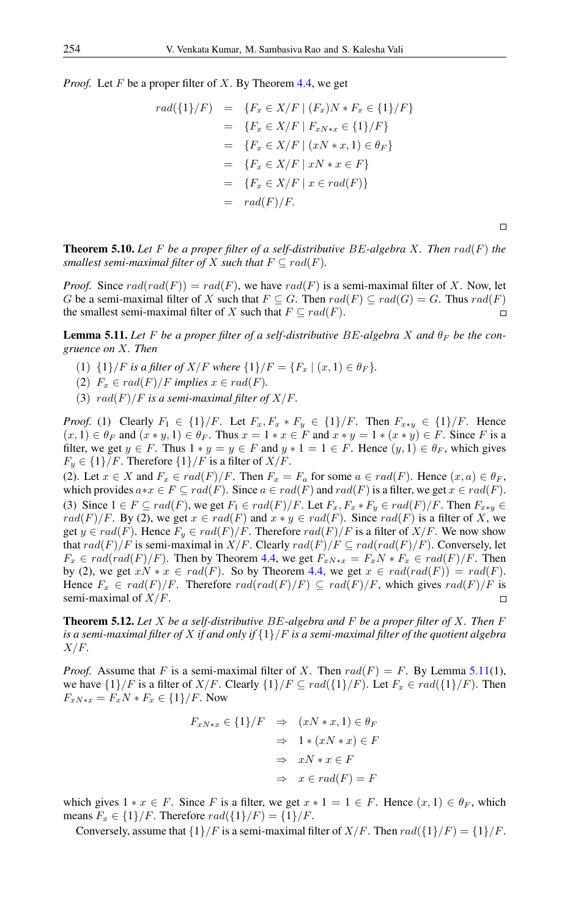*Proof.* Let F be a proper filter of X. By Theorem [4.4,](#page-6-1) we get

$$
rad(\lbrace 1 \rbrace/F) = \lbrace F_x \in X/F \mid (F_x)N * F_x \in \lbrace 1 \rbrace/F \rbrace
$$
  
= 
$$
\lbrace F_x \in X/F \mid F_{xN * x} \in \lbrace 1 \rbrace/F \rbrace
$$
  
= 
$$
\lbrace F_x \in X/F \mid (xN * x, 1) \in \theta_F \rbrace
$$
  
= 
$$
\lbrace F_x \in X/F \mid xN * x \in F \rbrace
$$
  
= 
$$
\lbrace F_x \in X/F \mid x \in rad(F) \rbrace
$$
  
= 
$$
rad(F)/F.
$$

 $\Box$ 

Theorem 5.10. *Let* F *be a proper filter of a self-distributive* BE*-algebra* X*. Then* rad(F) *the smallest semi-maximal filter of* X *such that*  $F \subseteq rad(F)$ *.* 

*Proof.* Since  $rad(rad(F)) = rad(F)$ , we have  $rad(F)$  is a semi-maximal filter of X. Now, let G be a semi-maximal filter of X such that  $F \subseteq G$ . Then  $rad(F) \subseteq rad(G) = G$ . Thus  $rad(F)$ the smallest semi-maximal filter of X such that  $F \subseteq rad(F)$ .  $\Box$ 

<span id="page-11-0"></span>**Lemma 5.11.** Let F be a proper filter of a self-distributive BE-algebra X and  $\theta_F$  be the con*gruence on* X*. Then*

- (1)  $\{1\}/F$  *is a filter of X/F where*  $\{1\}/F = \{F_x \mid (x, 1) \in \theta_F\}.$
- (2)  $F_x \in rad(F)/F$  *implies*  $x \in rad(F)$ *.*
- (3)  $rad(F)/F$  *is a semi-maximal filter of*  $X/F$ .

*Proof.* (1) Clearly  $F_1 \in \{1\}/F$ . Let  $F_x, F_x * F_y \in \{1\}/F$ . Then  $F_{x*y} \in \{1\}/F$ . Hence  $(x, 1) \in \theta_F$  and  $(x * y, 1) \in \theta_F$ . Thus  $x = 1 * x \in F$  and  $x * y = 1 * (x * y) \in F$ . Since F is a filter, we get  $y \in F$ . Thus  $1 * y = y \in F$  and  $y * 1 = 1 \in F$ . Hence  $(y, 1) \in \theta_F$ , which gives  $F_y \in \{1\}/F$ . Therefore  $\{1\}/F$  is a filter of  $X/F$ .

(2). Let  $x \in X$  and  $F_x \in rad(F)/F$ . Then  $F_x = F_a$  for some  $a \in rad(F)$ . Hence  $(x, a) \in \theta_F$ , which provides  $a*x \in F \subseteq rad(F)$ . Since  $a \in rad(F)$  and  $rad(F)$  is a filter, we get  $x \in rad(F)$ . (3) Since  $1 \in F \subseteq rad(F)$ , we get  $F_1 \in rad(F)/F$ . Let  $F_x, F_x * F_y \in rad(F)/F$ . Then  $F_{x*y} \in rad(F)/F$ .  $rad(F)/F$ . By (2), we get  $x \in rad(F)$  and  $x * y \in rad(F)$ . Since  $rad(F)$  is a filter of X, we get  $y \in rad(F)$ . Hence  $F_y \in rad(F)/F$ . Therefore  $rad(F)/F$  is a filter of  $X/F$ . We now show that  $rad(F)/F$  is semi-maximal in  $X/F$ . Clearly  $rad(F)/F \subseteq rad(rad(F)/F)$ . Conversely, let  $F_x \in rad(rad(F)/F)$ . Then by Theorem [4.4,](#page-6-1) we get  $F_{xN*x} = F_xN * F_x \in rad(F)/F$ . Then by (2), we get  $xN * x \in rad(F)$ . So by Theorem [4.4,](#page-6-1) we get  $x \in rad(rad(F)) = rad(F)$ . Hence  $F_x \in rad(F)/F$ . Therefore  $rad(rad(F)/F) \subseteq rad(F)/F$ , which gives  $rad(F)/F$  is semi-maximal of  $X/F$ .

Theorem 5.12. *Let* X *be a self-distributive* BE*-algebra and* F *be a proper filter of* X*. Then* F *is a semi-maximal filter of* X *if and only if* {1}/F *is a semi-maximal filter of the quotient algebra* X/F*.*

*Proof.* Assume that F is a semi-maximal filter of X. Then  $rad(F) = F$ . By Lemma [5.11\(](#page-11-0)1), we have  $\{1\}/F$  is a filter of  $X/F$ . Clearly  $\{1\}/F \subseteq rad(\{1\}/F)$ . Let  $F_x \in rad(\{1\}/F)$ . Then  $F_{xN*x} = F_xN * F_x \in \{1\}/F$ . Now

$$
F_{xN*x} \in \{1\}/F \Rightarrow (xN*x, 1) \in \theta_F
$$
  

$$
\Rightarrow 1*(xN*x) \in F
$$
  

$$
\Rightarrow xN*x \in F
$$
  

$$
\Rightarrow x \in rad(F) = F
$$

which gives  $1 * x \in F$ . Since F is a filter, we get  $x * 1 = 1 \in F$ . Hence  $(x, 1) \in \theta_F$ , which means  $F_x \in \{1\}/F$ . Therefore  $rad(\{1\}/F) = \{1\}/F$ .

Conversely, assume that  $\{1\}/F$  is a semi-maximal filter of  $X/F$ . Then  $rad(\{1\}/F) = \{1\}/F$ .